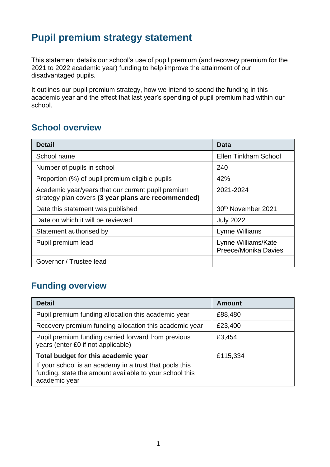## **Pupil premium strategy statement**

This statement details our school's use of pupil premium (and recovery premium for the 2021 to 2022 academic year) funding to help improve the attainment of our disadvantaged pupils.

It outlines our pupil premium strategy, how we intend to spend the funding in this academic year and the effect that last year's spending of pupil premium had within our school.

#### **School overview**

| <b>Detail</b>                                                                                             | Data                                        |
|-----------------------------------------------------------------------------------------------------------|---------------------------------------------|
| School name                                                                                               | <b>Ellen Tinkham School</b>                 |
| Number of pupils in school                                                                                | 240                                         |
| Proportion (%) of pupil premium eligible pupils                                                           | 42%                                         |
| Academic year/years that our current pupil premium<br>strategy plan covers (3 year plans are recommended) | 2021-2024                                   |
| Date this statement was published                                                                         | 30 <sup>th</sup> November 2021              |
| Date on which it will be reviewed                                                                         | <b>July 2022</b>                            |
| Statement authorised by                                                                                   | Lynne Williams                              |
| Pupil premium lead                                                                                        | Lynne Williams/Kate<br>Preece/Monika Davies |
| Governor / Trustee lead                                                                                   |                                             |

### **Funding overview**

| <b>Detail</b>                                                                                                                       | <b>Amount</b> |
|-------------------------------------------------------------------------------------------------------------------------------------|---------------|
| Pupil premium funding allocation this academic year                                                                                 | £88,480       |
| Recovery premium funding allocation this academic year                                                                              | £23,400       |
| Pupil premium funding carried forward from previous<br>years (enter £0 if not applicable)                                           | £3,454        |
| Total budget for this academic year                                                                                                 | £115,334      |
| If your school is an academy in a trust that pools this<br>funding, state the amount available to your school this<br>academic year |               |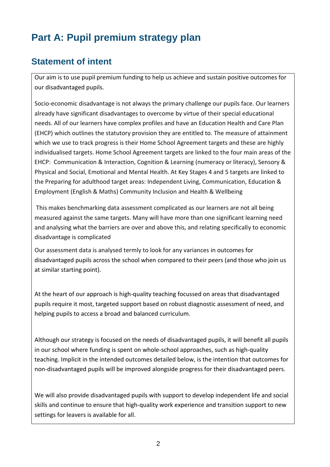# **Part A: Pupil premium strategy plan**

### **Statement of intent**

Our aim is to use pupil premium funding to help us achieve and sustain positive outcomes for our disadvantaged pupils.

Socio-economic disadvantage is not always the primary challenge our pupils face. Our learners already have significant disadvantages to overcome by virtue of their special educational needs. All of our learners have complex profiles and have an Education Health and Care Plan (EHCP) which outlines the statutory provision they are entitled to. The measure of attainment which we use to track progress is their Home School Agreement targets and these are highly individualised targets. Home School Agreement targets are linked to the four main areas of the EHCP: Communication & Interaction, Cognition & Learning (numeracy or literacy), Sensory & Physical and Social, Emotional and Mental Health. At Key Stages 4 and 5 targets are linked to the Preparing for adulthood target areas: Independent Living, Communication, Education & Employment (English & Maths) Community Inclusion and Health & Wellbeing

This makes benchmarking data assessment complicated as our learners are not all being measured against the same targets. Many will have more than one significant learning need and analysing what the barriers are over and above this, and relating specifically to economic disadvantage is complicated

Our assessment data is analysed termly to look for any variances in outcomes for disadvantaged pupils across the school when compared to their peers (and those who join us at similar starting point).

At the heart of our approach is high-quality teaching focussed on areas that disadvantaged pupils require it most, targeted support based on robust diagnostic assessment of need, and helping pupils to access a broad and balanced curriculum.

Although our strategy is focused on the needs of disadvantaged pupils, it will benefit all pupils in our school where funding is spent on whole-school approaches, such as high-quality teaching. Implicit in the intended outcomes detailed below, is the intention that outcomes for non-disadvantaged pupils will be improved alongside progress for their disadvantaged peers.

We will also provide disadvantaged pupils with support to develop independent life and social skills and continue to ensure that high-quality work experience and transition support to new settings for leavers is available for all.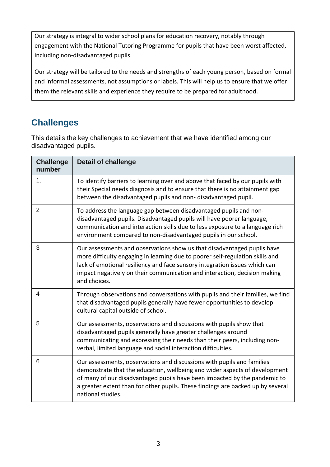Our strategy is integral to wider school plans for education recovery, notably through engagement with the National Tutoring Programme for pupils that have been worst affected, including non-disadvantaged pupils.

Our strategy will be tailored to the needs and strengths of each young person, based on formal and informal assessments, not assumptions or labels. This will help us to ensure that we offer them the relevant skills and experience they require to be prepared for adulthood.

## **Challenges**

This details the key challenges to achievement that we have identified among our disadvantaged pupils.

| <b>Challenge</b><br>number | <b>Detail of challenge</b>                                                                                                                                                                                                                                                                                                                |
|----------------------------|-------------------------------------------------------------------------------------------------------------------------------------------------------------------------------------------------------------------------------------------------------------------------------------------------------------------------------------------|
| 1 <sub>1</sub>             | To identify barriers to learning over and above that faced by our pupils with<br>their Special needs diagnosis and to ensure that there is no attainment gap<br>between the disadvantaged pupils and non-disadvantaged pupil.                                                                                                             |
| $\overline{2}$             | To address the language gap between disadvantaged pupils and non-<br>disadvantaged pupils. Disadvantaged pupils will have poorer language,<br>communication and interaction skills due to less exposure to a language rich<br>environment compared to non-disadvantaged pupils in our school.                                             |
| 3                          | Our assessments and observations show us that disadvantaged pupils have<br>more difficulty engaging in learning due to poorer self-regulation skills and<br>lack of emotional resiliency and face sensory integration issues which can<br>impact negatively on their communication and interaction, decision making<br>and choices.       |
| 4                          | Through observations and conversations with pupils and their families, we find<br>that disadvantaged pupils generally have fewer opportunities to develop<br>cultural capital outside of school.                                                                                                                                          |
| 5                          | Our assessments, observations and discussions with pupils show that<br>disadvantaged pupils generally have greater challenges around<br>communicating and expressing their needs than their peers, including non-<br>verbal, limited language and social interaction difficulties.                                                        |
| 6                          | Our assessments, observations and discussions with pupils and families<br>demonstrate that the education, wellbeing and wider aspects of development<br>of many of our disadvantaged pupils have been impacted by the pandemic to<br>a greater extent than for other pupils. These findings are backed up by several<br>national studies. |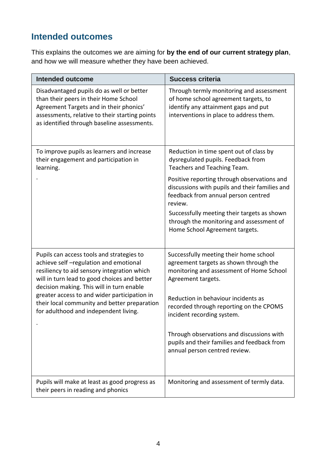## **Intended outcomes**

This explains the outcomes we are aiming for **by the end of our current strategy plan**, and how we will measure whether they have been achieved.

| <b>Intended outcome</b>                                                                                                                                                                                                        | <b>Success criteria</b>                                                                                                                                             |
|--------------------------------------------------------------------------------------------------------------------------------------------------------------------------------------------------------------------------------|---------------------------------------------------------------------------------------------------------------------------------------------------------------------|
| Disadvantaged pupils do as well or better<br>than their peers in their Home School<br>Agreement Targets and in their phonics'<br>assessments, relative to their starting points<br>as identified through baseline assessments. | Through termly monitoring and assessment<br>of home school agreement targets, to<br>identify any attainment gaps and put<br>interventions in place to address them. |
| To improve pupils as learners and increase<br>their engagement and participation in<br>learning.                                                                                                                               | Reduction in time spent out of class by<br>dysregulated pupils. Feedback from<br>Teachers and Teaching Team.                                                        |
|                                                                                                                                                                                                                                | Positive reporting through observations and<br>discussions with pupils and their families and<br>feedback from annual person centred<br>review.                     |
|                                                                                                                                                                                                                                | Successfully meeting their targets as shown<br>through the monitoring and assessment of<br>Home School Agreement targets.                                           |
| Pupils can access tools and strategies to<br>achieve self-regulation and emotional<br>resiliency to aid sensory integration which<br>will in turn lead to good choices and better<br>decision making. This will in turn enable | Successfully meeting their home school<br>agreement targets as shown through the<br>monitoring and assessment of Home School<br>Agreement targets.                  |
| greater access to and wider participation in<br>their local community and better preparation<br>for adulthood and independent living.                                                                                          | Reduction in behaviour incidents as<br>recorded through reporting on the CPOMS<br>incident recording system.                                                        |
|                                                                                                                                                                                                                                | Through observations and discussions with<br>pupils and their families and feedback from<br>annual person centred review.                                           |
| Pupils will make at least as good progress as<br>their peers in reading and phonics                                                                                                                                            | Monitoring and assessment of termly data.                                                                                                                           |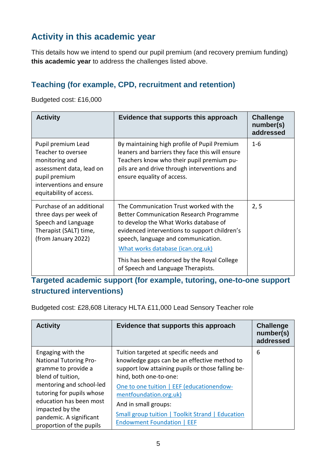## **Activity in this academic year**

This details how we intend to spend our pupil premium (and recovery premium funding) **this academic year** to address the challenges listed above.

#### **Teaching (for example, CPD, recruitment and retention)**

Budgeted cost: £16,000

| <b>Activity</b>                                                                                                                                                | Evidence that supports this approach                                                                                                                                                                                                                                                                                                                 | <b>Challenge</b><br>number(s)<br>addressed |
|----------------------------------------------------------------------------------------------------------------------------------------------------------------|------------------------------------------------------------------------------------------------------------------------------------------------------------------------------------------------------------------------------------------------------------------------------------------------------------------------------------------------------|--------------------------------------------|
| Pupil premium Lead<br>Teacher to oversee<br>monitoring and<br>assessment data, lead on<br>pupil premium<br>interventions and ensure<br>equitability of access. | By maintaining high profile of Pupil Premium<br>leaners and barriers they face this will ensure<br>Teachers know who their pupil premium pu-<br>pils are and drive through interventions and<br>ensure equality of access.                                                                                                                           | $1 - 6$                                    |
| Purchase of an additional<br>three days per week of<br>Speech and Language<br>Therapist (SALT) time,<br>(from January 2022)                                    | The Communication Trust worked with the<br><b>Better Communication Research Programme</b><br>to develop the What Works database of<br>evidenced interventions to support children's<br>speech, language and communication.<br>What works database (ican.org.uk)<br>This has been endorsed by the Royal College<br>of Speech and Language Therapists. | 2, 5                                       |

**Targeted academic support (for example, tutoring, one-to-one support structured interventions)** 

Budgeted cost: £28,608 Literacy HLTA £11,000 Lead Sensory Teacher role

| <b>Activity</b>                                                                                                                                                                                                                                              | Evidence that supports this approach                                                                                                                                                                                                                                                                                                                          | <b>Challenge</b><br>number(s)<br>addressed |
|--------------------------------------------------------------------------------------------------------------------------------------------------------------------------------------------------------------------------------------------------------------|---------------------------------------------------------------------------------------------------------------------------------------------------------------------------------------------------------------------------------------------------------------------------------------------------------------------------------------------------------------|--------------------------------------------|
| Engaging with the<br><b>National Tutoring Pro-</b><br>gramme to provide a<br>blend of tuition,<br>mentoring and school-led<br>tutoring for pupils whose<br>education has been most<br>impacted by the<br>pandemic. A significant<br>proportion of the pupils | Tuition targeted at specific needs and<br>knowledge gaps can be an effective method to<br>support low attaining pupils or those falling be-<br>hind, both one-to-one:<br>One to one tuition   EEF (educationendow-<br>mentfoundation.org.uk)<br>And in small groups:<br>Small group tuition   Toolkit Strand   Education<br><b>Endowment Foundation   EEF</b> | 6                                          |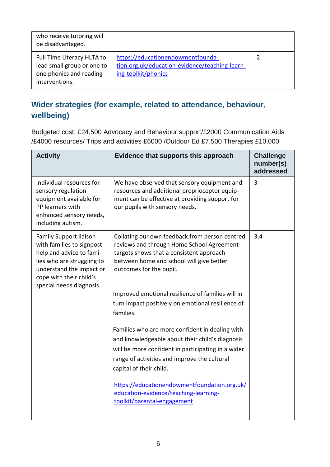| who receive tutoring will<br>be disadvantaged.                                                        |                                                                                                            |  |
|-------------------------------------------------------------------------------------------------------|------------------------------------------------------------------------------------------------------------|--|
| Full Time Literacy HLTA to<br>lead small group or one to<br>one phonics and reading<br>interventions. | https://educationendowmentfounda-<br>tion.org.uk/education-evidence/teaching-learn-<br>ing-toolkit/phonics |  |

### **Wider strategies (for example, related to attendance, behaviour, wellbeing)**

Budgeted cost: £24,500 Advocacy and Behaviour support/£2000 Communication Aids /£4000 resources/ Trips and activities £6000 /Outdoor Ed £7,500 Therapies £10,000

| <b>Activity</b>                                                                                                                                                                                         | Evidence that supports this approach                                                                                                                                                                                                | <b>Challenge</b><br>number(s)<br>addressed |
|---------------------------------------------------------------------------------------------------------------------------------------------------------------------------------------------------------|-------------------------------------------------------------------------------------------------------------------------------------------------------------------------------------------------------------------------------------|--------------------------------------------|
| Individual resources for<br>sensory regulation<br>equipment available for<br>PP learners with<br>enhanced sensory needs,<br>including autism.                                                           | We have observed that sensory equipment and<br>resources and additional proprioceptor equip-<br>ment can be effective at providing support for<br>our pupils with sensory needs.                                                    | 3                                          |
| <b>Family Support liaison</b><br>with families to signpost<br>help and advice to fami-<br>lies who are struggling to<br>understand the impact or<br>cope with their child's<br>special needs diagnosis. | Collating our own feedback from person centred<br>reviews and through Home School Agreement<br>targets shows that a consistent approach<br>between home and school will give better<br>outcomes for the pupil.                      | 3,4                                        |
|                                                                                                                                                                                                         | Improved emotional resilience of families will in<br>turn impact positively on emotional resilience of<br>families.                                                                                                                 |                                            |
|                                                                                                                                                                                                         | Families who are more confident in dealing with<br>and knowledgeable about their child's diagnosis<br>will be more confident in participating in a wider<br>range of activities and improve the cultural<br>capital of their child. |                                            |
|                                                                                                                                                                                                         | https://educationendowmentfoundation.org.uk/<br>education-evidence/teaching-learning-<br>toolkit/parental-engagement                                                                                                                |                                            |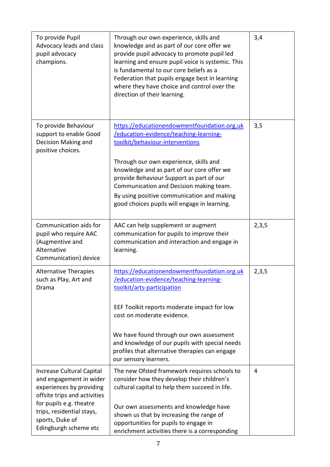| To provide Pupil<br>Advocacy leads and class<br>pupil advocacy<br>champions.                                                                                                                                         | Through our own experience, skills and<br>knowledge and as part of our core offer we<br>provide pupil advocacy to promote pupil led<br>learning and ensure pupil voice is systemic. This<br>is fundamental to our core beliefs as a<br>Federation that pupils engage best in learning<br>where they have choice and control over the<br>direction of their learning.                                  | 3,4   |
|----------------------------------------------------------------------------------------------------------------------------------------------------------------------------------------------------------------------|-------------------------------------------------------------------------------------------------------------------------------------------------------------------------------------------------------------------------------------------------------------------------------------------------------------------------------------------------------------------------------------------------------|-------|
| To provide Behaviour<br>support to enable Good<br>Decision Making and<br>positive choices.                                                                                                                           | https://educationendowmentfoundation.org.uk<br>/education-evidence/teaching-learning-<br>toolkit/behaviour-interventions<br>Through our own experience, skills and<br>knowledge and as part of our core offer we<br>provide Behaviour Support as part of our<br>Communication and Decision making team.<br>By using positive communication and making<br>good choices pupils will engage in learning. | 3,5   |
| Communication aids for<br>pupil who require AAC<br>(Augmentive and<br>Alternative<br>Communication) device                                                                                                           | AAC can help supplement or augment<br>communication for pupils to improve their<br>communication and interaction and engage in<br>learning.                                                                                                                                                                                                                                                           | 2,3,5 |
| <b>Alternative Therapies</b><br>such as Play, Art and<br>Drama                                                                                                                                                       | https://educationendowmentfoundation.org.uk<br>/education-evidence/teaching-learning-<br>toolkit/arts-participation<br>EEF Toolkit reports moderate impact for low<br>cost on moderate evidence.<br>We have found through our own assessment<br>and knowledge of our pupils with special needs<br>profiles that alternative therapies can engage<br>our sensory learners.                             | 2,3,5 |
| Increase Cultural Capital<br>and engagement in wider<br>experiences by providing<br>offsite trips and activities<br>for pupils e.g. theatre<br>trips, residential stays,<br>sports, Duke of<br>Edingburgh scheme etc | The new Ofsted framework requires schools to<br>consider how they develop their children's<br>cultural capital to help them succeed in life.<br>Our own assessments and knowledge have<br>shown us that by increasing the range of<br>opportunities for pupils to engage in<br>enrichment activities there is a corresponding                                                                         | 4     |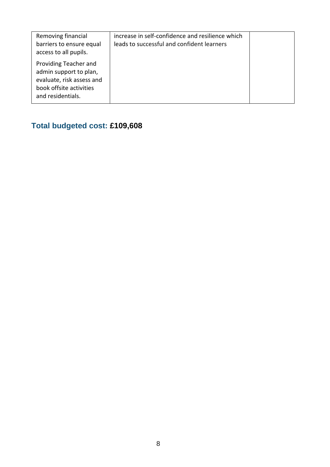| Removing financial<br>barriers to ensure equal<br>access to all pupils.                                                      | increase in self-confidence and resilience which<br>leads to successful and confident learners |  |
|------------------------------------------------------------------------------------------------------------------------------|------------------------------------------------------------------------------------------------|--|
| Providing Teacher and<br>admin support to plan,<br>evaluate, risk assess and<br>book offsite activities<br>and residentials. |                                                                                                |  |

## **Total budgeted cost: £109,608**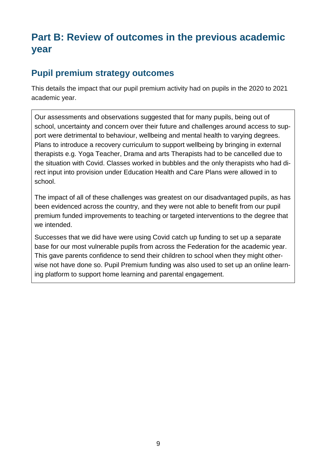## **Part B: Review of outcomes in the previous academic year**

### **Pupil premium strategy outcomes**

This details the impact that our pupil premium activity had on pupils in the 2020 to 2021 academic year.

Our assessments and observations suggested that for many pupils, being out of school, uncertainty and concern over their future and challenges around access to support were detrimental to behaviour, wellbeing and mental health to varying degrees. Plans to introduce a recovery curriculum to support wellbeing by bringing in external therapists e.g. Yoga Teacher, Drama and arts Therapists had to be cancelled due to the situation with Covid. Classes worked in bubbles and the only therapists who had direct input into provision under Education Health and Care Plans were allowed in to school.

The impact of all of these challenges was greatest on our disadvantaged pupils, as has been evidenced across the country, and they were not able to benefit from our pupil premium funded improvements to teaching or targeted interventions to the degree that we intended.

Successes that we did have were using Covid catch up funding to set up a separate base for our most vulnerable pupils from across the Federation for the academic year. This gave parents confidence to send their children to school when they might otherwise not have done so. Pupil Premium funding was also used to set up an online learning platform to support home learning and parental engagement.